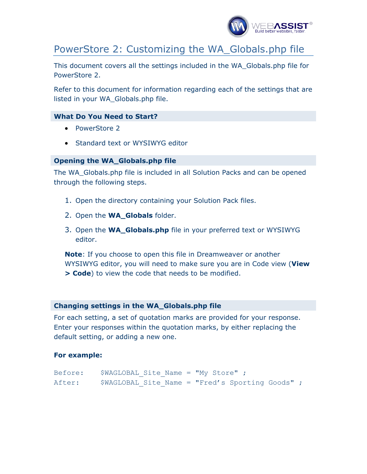

# PowerStore 2: Customizing the WA\_Globals.php file

This document covers all the settings included in the WA\_Globals.php file for PowerStore 2.

Refer to this document for information regarding each of the settings that are listed in your WA\_Globals.php file.

#### **What Do You Need to Start?**

- PowerStore 2
- Standard text or WYSIWYG editor

#### **Opening the WA\_Globals.php file**

The WA\_Globals.php file is included in all Solution Packs and can be opened through the following steps.

- 1. Open the directory containing your Solution Pack files.
- 2. Open the **WA\_Globals** folder.
- 3. Open the **WA\_Globals.php** file in your preferred text or WYSIWYG editor.

**Note**: If you choose to open this file in Dreamweaver or another WYSIWYG editor, you will need to make sure you are in Code view (**View > Code**) to view the code that needs to be modified.

#### **Changing settings in the WA\_Globals.php file**

For each setting, a set of quotation marks are provided for your response. Enter your responses within the quotation marks, by either replacing the default setting, or adding a new one.

#### **For example:**

| Before: | $$WAGLOBAL$ Site Name = "My Store";              |  |  |  |  |
|---------|--------------------------------------------------|--|--|--|--|
| After:  | \$WAGLOBAL Site Name = "Fred's Sporting Goods" ; |  |  |  |  |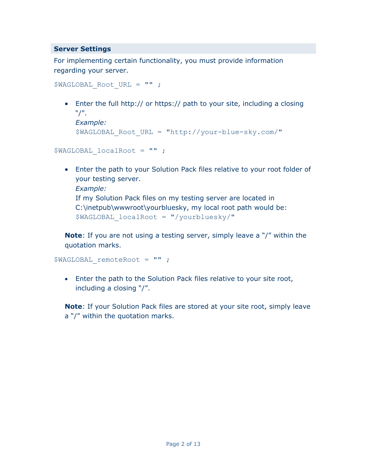## **Server Settings**

For implementing certain functionality, you must provide information regarding your server.

```
$WAGLOBAL Root URL = "" ;
```
• Enter the full http:// or https:// path to your site, including a closing "/".

```
Example: 
$WAGLOBAL_Root_URL = "http://your-blue-sky.com/"
```

```
$WAGLOBAL_localRoot = "" ;
```
• Enter the path to your Solution Pack files relative to your root folder of your testing server. *Example:*  If my Solution Pack files on my testing server are located in C:\inetpub\wwwroot\yourbluesky, my local root path would be:

\$WAGLOBAL\_localRoot = "/yourbluesky/"

**Note**: If you are not using a testing server, simply leave a "/" within the quotation marks.

```
$WAGLOBAL_remoteRoot = "" ;
```
• Enter the path to the Solution Pack files relative to your site root, including a closing "/".

**Note**: If your Solution Pack files are stored at your site root, simply leave a "/" within the quotation marks.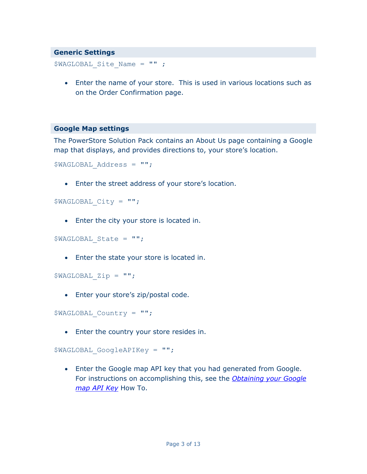#### **Generic Settings**

\$WAGLOBAL\_Site\_Name = "" ;

• Enter the name of your store. This is used in various locations such as on the Order Confirmation page.

#### **Google Map settings**

The PowerStore Solution Pack contains an About Us page containing a Google map that displays, and provides directions to, your store's location.

```
$WAGLOBAL_Address = "";
```
• Enter the street address of your store's location.

```
$WAGLOBAL_City = "";
```
• Enter the city your store is located in.

```
$WAGLOBAL_State = "";
```
• Enter the state your store is located in.

```
$WAGLOBAL_Zip = "";
```
• Enter your store's zip/postal code.

\$WAGLOBAL\_Country = "";

• Enter the country your store resides in.

```
$WAGLOBAL_GoogleAPIKey = "";
```
• Enter the Google map API key that you had generated from Google. For instructions on accomplishing this, see the *[Obtaining your Google](http://www.webassist.com/go/howto/google_map_api) [map API Key](http://www.webassist.com/go/howto/google_map_api)* How To.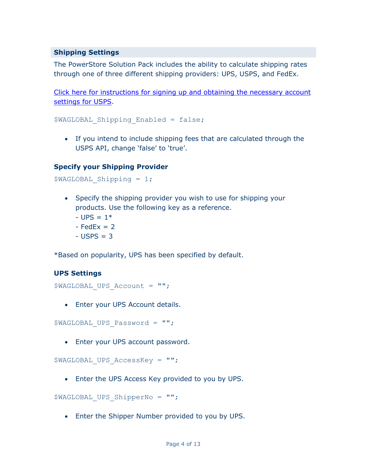## **Shipping Settings**

The PowerStore Solution Pack includes the ability to calculate shipping rates through one of three different shipping providers: UPS, USPS, and FedEx.

[Click here for instructions for signing up and obtaining the necessary account](http://www.webassist.com/go/howto/usps_signup)  [settings for USPS](http://www.webassist.com/go/howto/usps_signup).

```
$WAGLOBAL Shipping Enabled = false;
```
• If you intend to include shipping fees that are calculated through the USPS API, change 'false' to 'true'.

## **Specify your Shipping Provider**

```
$WAGLOBAL_Shipping = 1;
```
- Specify the shipping provider you wish to use for shipping your products. Use the following key as a reference.
	- $-$  UPS =  $1*$
	- $-$  FedEx  $= 2$
	- $-$  USPS  $=$  3

\*Based on popularity, UPS has been specified by default.

## **UPS Settings**

```
$WAGLOBAL_UPS_Account = "";
```
• Enter your UPS Account details.

\$WAGLOBAL\_UPS\_Password = "";

• Enter your UPS account password.

\$WAGLOBAL UPS AccessKey = "";

• Enter the UPS Access Key provided to you by UPS.

```
$WAGLOBAL_UPS_ShipperNo = "";
```
• Enter the Shipper Number provided to you by UPS.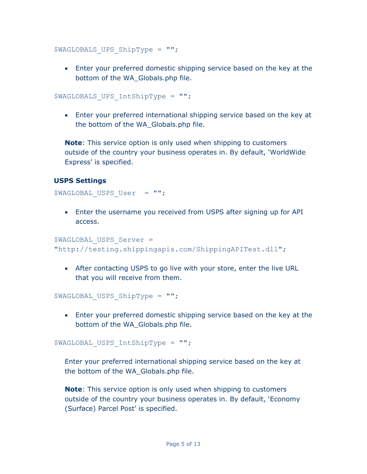\$WAGLOBALS UPS ShipType = "";

• Enter your preferred domestic shipping service based on the key at the bottom of the WA\_Globals.php file.

\$WAGLOBALS\_UPS\_IntShipType = "";

• Enter your preferred international shipping service based on the key at the bottom of the WA\_Globals.php file.

**Note**: This service option is only used when shipping to customers outside of the country your business operates in. By default, 'WorldWide Express' is specified.

## **USPS Settings**

\$WAGLOBAL USPS User = "";

• Enter the username you received from USPS after signing up for API access.

```
$WAGLOBAL USPS Server =
"http://testing.shippingapis.com/ShippingAPITest.dll";
```
• After contacting USPS to go live with your store, enter the live URL that you will receive from them.

```
$WAGLOBAL_USPS_ShipType = "";
```
• Enter your preferred domestic shipping service based on the key at the bottom of the WA\_Globals.php file.

\$WAGLOBAL\_USPS\_IntShipType = "";

Enter your preferred international shipping service based on the key at the bottom of the WA\_Globals.php file.

**Note**: This service option is only used when shipping to customers outside of the country your business operates in. By default, 'Economy (Surface) Parcel Post' is specified.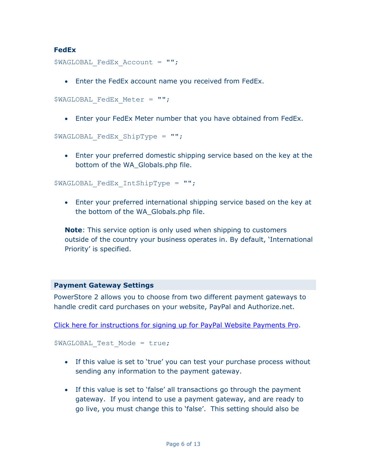## **FedEx**

```
$WAGLOBAL FedEx Account = "";
```
• Enter the FedEx account name you received from FedEx.

```
$WAGLOBAL FedEx Meter = "";
```
• Enter your FedEx Meter number that you have obtained from FedEx.

```
$WAGLOBAL_FedEx_ShipType = "";
```
• Enter your preferred domestic shipping service based on the key at the bottom of the WA\_Globals.php file.

\$WAGLOBAL\_FedEx\_IntShipType = "";

• Enter your preferred international shipping service based on the key at the bottom of the WA\_Globals.php file.

**Note**: This service option is only used when shipping to customers outside of the country your business operates in. By default, 'International Priority' is specified.

## **Payment Gateway Settings**

PowerStore 2 allows you to choose from two different payment gateways to handle credit card purchases on your website, PayPal and Authorize.net.

```
Click here for instructions for signing up for PayPal Website Payments Pro.
```

```
$WAGLOBAL Test Mode = true;
```
- If this value is set to 'true' you can test your purchase process without sending any information to the payment gateway.
- If this value is set to 'false' all transactions go through the payment gateway. If you intend to use a payment gateway, and are ready to go live, you must change this to 'false'. This setting should also be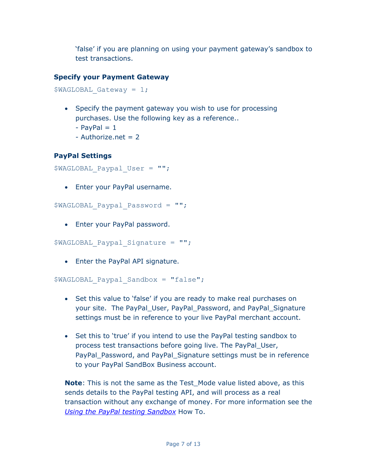'false' if you are planning on using your payment gateway's sandbox to test transactions.

## **Specify your Payment Gateway**

```
$WAGLOBAL Gateway = 1;
```
- Specify the payment gateway you wish to use for processing purchases. Use the following key as a reference..
	- $-$  PayPal  $= 1$
	- $-$  Authorize.net = 2

# **PayPal Settings**

```
$WAGLOBAL_Paypal_User = "";
```
• Enter your PayPal username.

```
$WAGLOBAL_Paypal_Password = "";
```
• Enter your PayPal password.

```
$WAGLOBAL_Paypal_Signature = "";
```
• Enter the PayPal API signature.

```
$WAGLOBAL_Paypal_Sandbox = "false";
```
- Set this value to 'false' if you are ready to make real purchases on your site. The PayPal\_User, PayPal\_Password, and PayPal\_Signature settings must be in reference to your live PayPal merchant account.
- Set this to 'true' if you intend to use the PayPal testing sandbox to process test transactions before going live. The PayPal\_User, PayPal\_Password, and PayPal\_Signature settings must be in reference to your PayPal SandBox Business account.

**Note**: This is not the same as the Test Mode value listed above, as this sends details to the PayPal testing API, and will process as a real transaction without any exchange of money. For more information see the *[Using the PayPal testing Sandbox](http://www.webassist.com/go/howto/paypal_sandbox)* How To.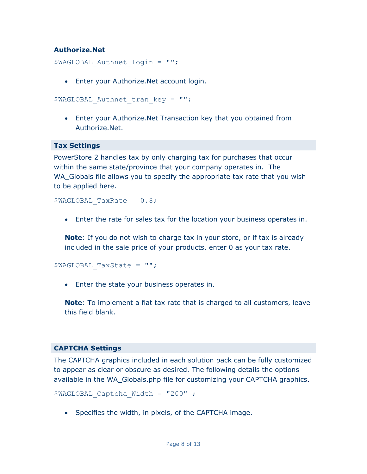## **Authorize.Net**

```
$WAGLOBAL Authnet login = "";
```
• Enter your Authorize.Net account login.

```
$WAGLOBAL Authnet tran key = "";
```
• Enter your Authorize.Net Transaction key that you obtained from Authorize.Net.

#### **Tax Settings**

PowerStore 2 handles tax by only charging tax for purchases that occur within the same state/province that your company operates in. The WA\_Globals file allows you to specify the appropriate tax rate that you wish to be applied here.

 $$WAGLOBAL$  TaxRate = 0.8;

• Enter the rate for sales tax for the location your business operates in.

**Note**: If you do not wish to charge tax in your store, or if tax is already included in the sale price of your products, enter 0 as your tax rate.

\$WAGLOBAL\_TaxState = "";

• Enter the state your business operates in.

**Note**: To implement a flat tax rate that is charged to all customers, leave this field blank.

#### **CAPTCHA Settings**

The CAPTCHA graphics included in each solution pack can be fully customized to appear as clear or obscure as desired. The following details the options available in the WA\_Globals.php file for customizing your CAPTCHA graphics.

```
$WAGLOBAL Captcha Width = "200" ;
```
• Specifies the width, in pixels, of the CAPTCHA image.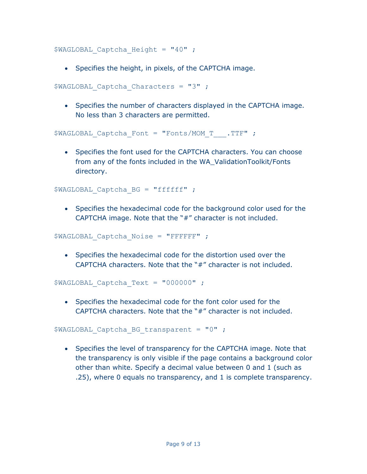\$WAGLOBAL Captcha Height = "40" ;

• Specifies the height, in pixels, of the CAPTCHA image.

```
$WAGLOBAL Captcha Characters = "3" ;
```
• Specifies the number of characters displayed in the CAPTCHA image. No less than 3 characters are permitted.

```
$WAGLOBAL Captcha Font = "Fonts/MOM T.TTF" ;
```
• Specifies the font used for the CAPTCHA characters. You can choose from any of the fonts included in the WA\_ValidationToolkit/Fonts directory.

\$WAGLOBAL Captcha BG = "ffffff" ;

• Specifies the hexadecimal code for the background color used for the CAPTCHA image. Note that the "#" character is not included.

```
$WAGLOBAL Captcha Noise = "FFFFFF" ;
```
• Specifies the hexadecimal code for the distortion used over the CAPTCHA characters. Note that the "#" character is not included.

\$WAGLOBAL\_Captcha\_Text = "000000" ;

• Specifies the hexadecimal code for the font color used for the CAPTCHA characters. Note that the "#" character is not included.

\$WAGLOBAL Captcha BG transparent =  $"0"$  ;

• Specifies the level of transparency for the CAPTCHA image. Note that the transparency is only visible if the page contains a background color other than white. Specify a decimal value between 0 and 1 (such as .25), where 0 equals no transparency, and 1 is complete transparency.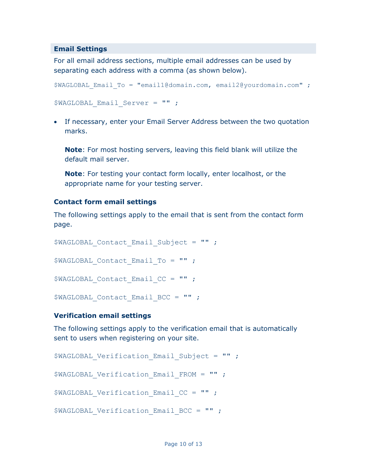#### **Email Settings**

For all email address sections, multiple email addresses can be used by separating each address with a comma (as shown below).

```
$WAGLOBAL_Email_To = "email1@domain.com, email2@yourdomain.com" ; 
$WAGLOBAL_Email_Server = "" ;
```
• If necessary, enter your Email Server Address between the two quotation marks.

**Note**: For most hosting servers, leaving this field blank will utilize the default mail server.

**Note**: For testing your contact form locally, enter localhost, or the appropriate name for your testing server.

## **Contact form email settings**

The following settings apply to the email that is sent from the contact form page.

```
$WAGLOBAL Contact Email Subject = "";
$WAGLOBAL Contact Email To = "" ;
$WAGLOBAL Contact Email CC = "" ;
$WAGLOBAL Contact Email BCC = "" ;
```
## **Verification email settings**

The following settings apply to the verification email that is automatically sent to users when registering on your site.

```
$WAGLOBAL Verification Email Subject = "" ;
$WAGLOBAL Verification Email FROM = "" ;
$WAGLOBAL Verification Email CC = "" ;
$WAGLOBAL Verification Email BCC = "" ;
```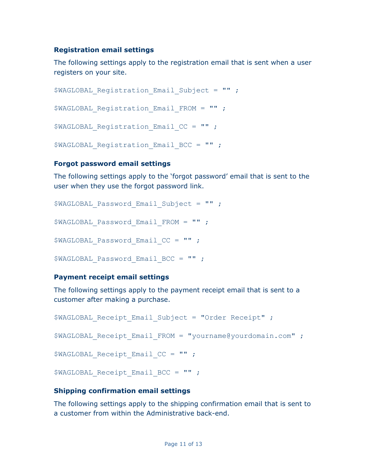## **Registration email settings**

The following settings apply to the registration email that is sent when a user registers on your site.

```
$WAGLOBAL Registration Email Subject = "" ;
$WAGLOBAL Registration Email FROM = "";
$WAGLOBAL Registration Email CC = "" ;
$WAGLOBAL Registration Email BCC = "" ;
```
## **Forgot password email settings**

The following settings apply to the 'forgot password' email that is sent to the user when they use the forgot password link.

```
$WAGLOBAL Password Email Subject = "";
$WAGLOBAL_Password_Email_FROM = "" ; 
$WAGLOBAL Password Email CC = "";
$WAGLOBAL Password Email BCC = "";
```
## **Payment receipt email settings**

The following settings apply to the payment receipt email that is sent to a customer after making a purchase.

```
$WAGLOBAL Receipt Email Subject = "Order Receipt" ;
$WAGLOBAL Receipt Email FROM = "yourname@yourdomain.com" ;
$WAGLOBAL Receipt Email CC = "" ;
$WAGLOBAL Receipt Email BCC = "";
```
## **Shipping confirmation email settings**

The following settings apply to the shipping confirmation email that is sent to a customer from within the Administrative back-end.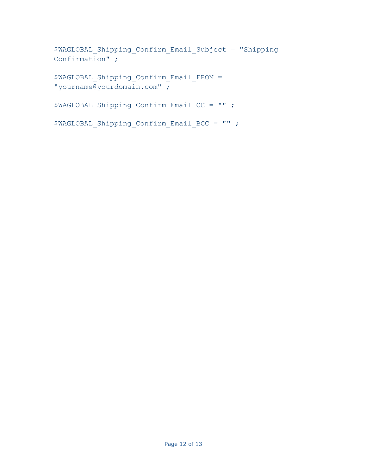```
$WAGLOBAL_Shipping_Confirm_Email_Subject = "Shipping 
Confirmation" ;
```

```
$WAGLOBAL_Shipping_Confirm_Email_FROM = 
"yourname@yourdomain.com" ;
```

```
$WAGLOBAL Shipping Confirm Email CC = "" ;
```

```
$WAGLOBAL Shipping Confirm Email BCC = "" ;
```